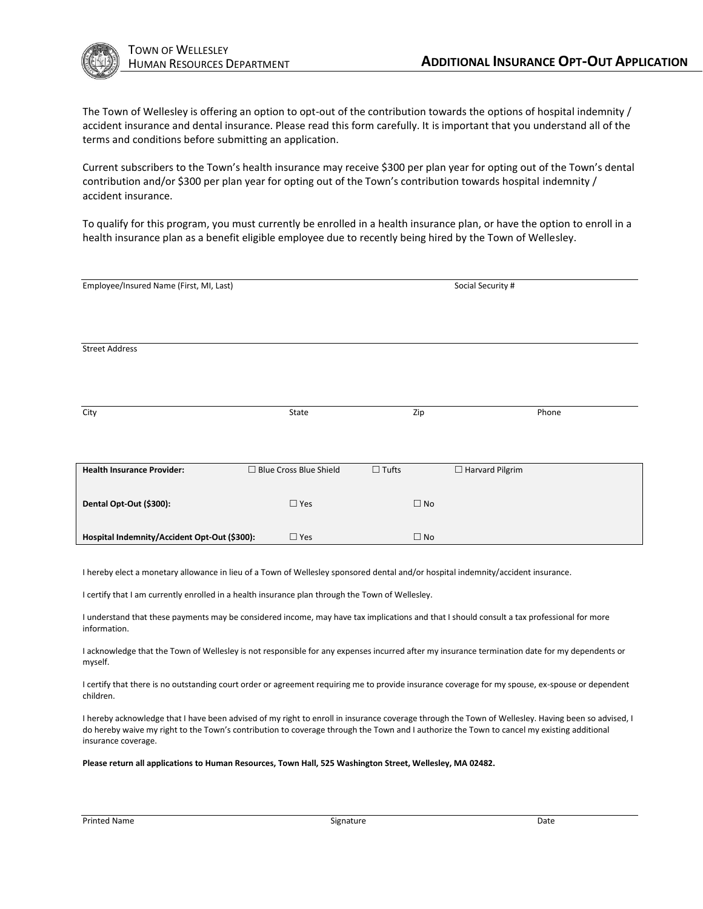

The Town of Wellesley is offering an option to opt-out of the contribution towards the options of hospital indemnity / accident insurance and dental insurance. Please read this form carefully. It is important that you understand all of the terms and conditions before submitting an application.

Current subscribers to the Town's health insurance may receive \$300 per plan year for opting out of the Town's dental contribution and/or \$300 per plan year for opting out of the Town's contribution towards hospital indemnity / accident insurance.

To qualify for this program, you must currently be enrolled in a health insurance plan, or have the option to enroll in a health insurance plan as a benefit eligible employee due to recently being hired by the Town of Wellesley.

| Employee/Insured Name (First, MI, Last)      |                          | Social Security # |                        |       |
|----------------------------------------------|--------------------------|-------------------|------------------------|-------|
|                                              |                          |                   |                        |       |
|                                              |                          |                   |                        |       |
|                                              |                          |                   |                        |       |
| <b>Street Address</b>                        |                          |                   |                        |       |
|                                              |                          |                   |                        |       |
|                                              |                          |                   |                        |       |
|                                              |                          |                   |                        |       |
| City                                         | State                    | Zip               |                        | Phone |
|                                              |                          |                   |                        |       |
|                                              |                          |                   |                        |       |
| <b>Health Insurance Provider:</b>            | □ Blue Cross Blue Shield | $\Box$ Tufts      | $\Box$ Harvard Pilgrim |       |
|                                              |                          |                   |                        |       |
|                                              |                          |                   |                        |       |
| Dental Opt-Out (\$300):                      | $\Box$ Yes               | $\Box$ No         |                        |       |
|                                              |                          |                   |                        |       |
| Hospital Indemnity/Accident Opt-Out (\$300): | $\Box$ Yes               | $\Box$ No         |                        |       |

I hereby elect a monetary allowance in lieu of a Town of Wellesley sponsored dental and/or hospital indemnity/accident insurance.

I certify that I am currently enrolled in a health insurance plan through the Town of Wellesley.

I understand that these payments may be considered income, may have tax implications and that I should consult a tax professional for more information.

I acknowledge that the Town of Wellesley is not responsible for any expenses incurred after my insurance termination date for my dependents or myself.

I certify that there is no outstanding court order or agreement requiring me to provide insurance coverage for my spouse, ex-spouse or dependent children.

I hereby acknowledge that I have been advised of my right to enroll in insurance coverage through the Town of Wellesley. Having been so advised, I do hereby waive my right to the Town's contribution to coverage through the Town and I authorize the Town to cancel my existing additional insurance coverage.

**Please return all applications to Human Resources, Town Hall, 525 Washington Street, Wellesley, MA 02482.**